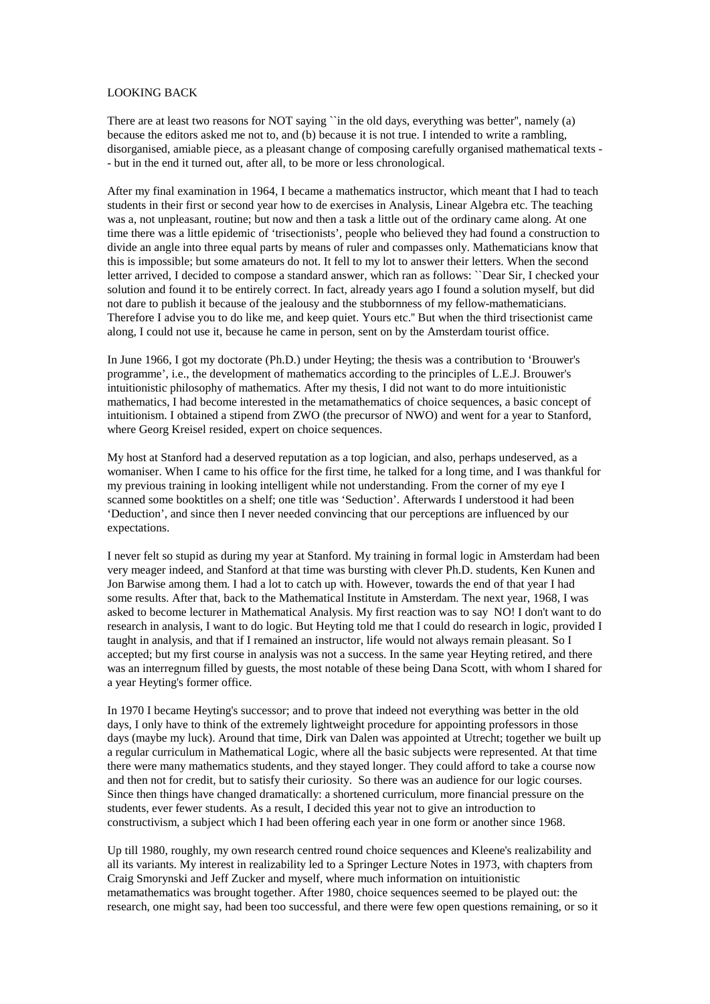## LOOKING BACK

There are at least two reasons for NOT saying "in the old days, everything was better", namely (a) because the editors asked me not to, and (b) because it is not true. I intended to write a rambling, disorganised, amiable piece, as a pleasant change of composing carefully organised mathematical texts - - but in the end it turned out, after all, to be more or less chronological.

After my final examination in 1964, I became a mathematics instructor, which meant that I had to teach students in their first or second year how to de exercises in Analysis, Linear Algebra etc. The teaching was a, not unpleasant, routine; but now and then a task a little out of the ordinary came along. At one time there was a little epidemic of 'trisectionists', people who believed they had found a construction to divide an angle into three equal parts by means of ruler and compasses only. Mathematicians know that this is impossible; but some amateurs do not. It fell to my lot to answer their letters. When the second letter arrived, I decided to compose a standard answer, which ran as follows: ``Dear Sir, I checked your solution and found it to be entirely correct. In fact, already years ago I found a solution myself, but did not dare to publish it because of the jealousy and the stubbornness of my fellow-mathematicians. Therefore I advise you to do like me, and keep quiet. Yours etc.'' But when the third trisectionist came along, I could not use it, because he came in person, sent on by the Amsterdam tourist office.

In June 1966, I got my doctorate (Ph.D.) under Heyting; the thesis was a contribution to 'Brouwer's programme', i.e., the development of mathematics according to the principles of L.E.J. Brouwer's intuitionistic philosophy of mathematics. After my thesis, I did not want to do more intuitionistic mathematics, I had become interested in the metamathematics of choice sequences, a basic concept of intuitionism. I obtained a stipend from ZWO (the precursor of NWO) and went for a year to Stanford, where Georg Kreisel resided, expert on choice sequences.

My host at Stanford had a deserved reputation as a top logician, and also, perhaps undeserved, as a womaniser. When I came to his office for the first time, he talked for a long time, and I was thankful for my previous training in looking intelligent while not understanding. From the corner of my eye I scanned some booktitles on a shelf; one title was 'Seduction'. Afterwards I understood it had been 'Deduction', and since then I never needed convincing that our perceptions are influenced by our expectations.

I never felt so stupid as during my year at Stanford. My training in formal logic in Amsterdam had been very meager indeed, and Stanford at that time was bursting with clever Ph.D. students, Ken Kunen and Jon Barwise among them. I had a lot to catch up with. However, towards the end of that year I had some results. After that, back to the Mathematical Institute in Amsterdam. The next year, 1968, I was asked to become lecturer in Mathematical Analysis. My first reaction was to say NO! I don't want to do research in analysis, I want to do logic. But Heyting told me that I could do research in logic, provided I taught in analysis, and that if I remained an instructor, life would not always remain pleasant. So I accepted; but my first course in analysis was not a success. In the same year Heyting retired, and there was an interregnum filled by guests, the most notable of these being Dana Scott, with whom I shared for a year Heyting's former office.

In 1970 I became Heyting's successor; and to prove that indeed not everything was better in the old days, I only have to think of the extremely lightweight procedure for appointing professors in those days (maybe my luck). Around that time, Dirk van Dalen was appointed at Utrecht; together we built up a regular curriculum in Mathematical Logic, where all the basic subjects were represented. At that time there were many mathematics students, and they stayed longer. They could afford to take a course now and then not for credit, but to satisfy their curiosity. So there was an audience for our logic courses. Since then things have changed dramatically: a shortened curriculum, more financial pressure on the students, ever fewer students. As a result, I decided this year not to give an introduction to constructivism, a subject which I had been offering each year in one form or another since 1968.

Up till 1980, roughly, my own research centred round choice sequences and Kleene's realizability and all its variants. My interest in realizability led to a Springer Lecture Notes in 1973, with chapters from Craig Smorynski and Jeff Zucker and myself, where much information on intuitionistic metamathematics was brought together. After 1980, choice sequences seemed to be played out: the research, one might say, had been too successful, and there were few open questions remaining, or so it